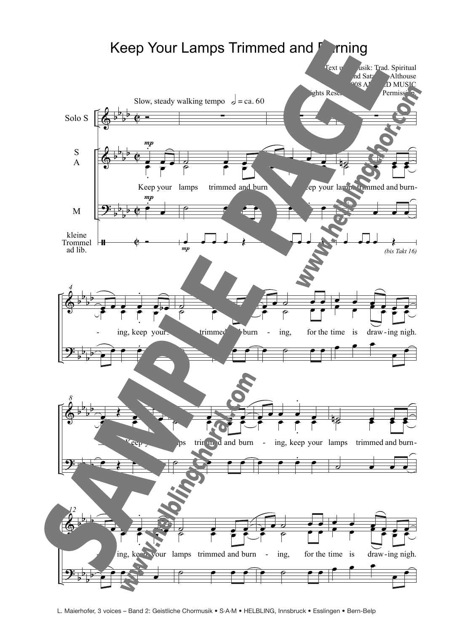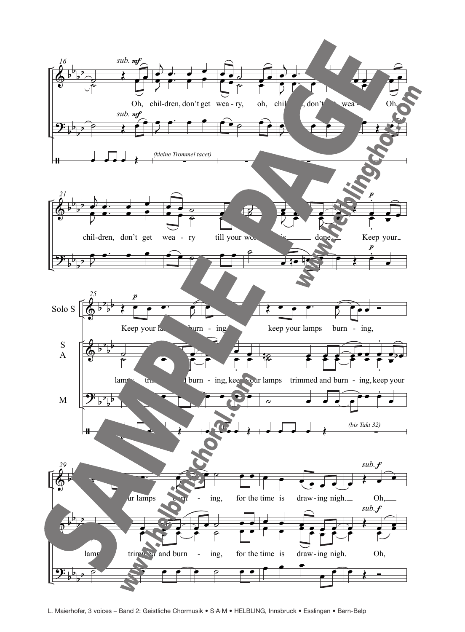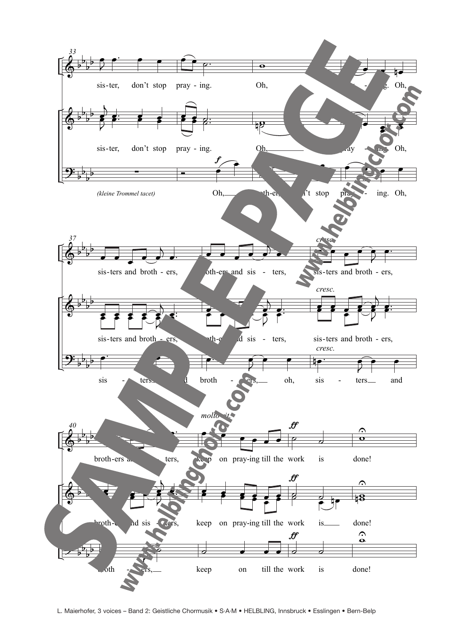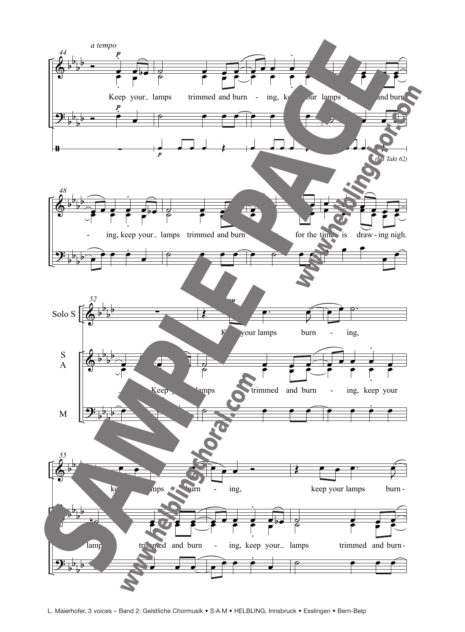